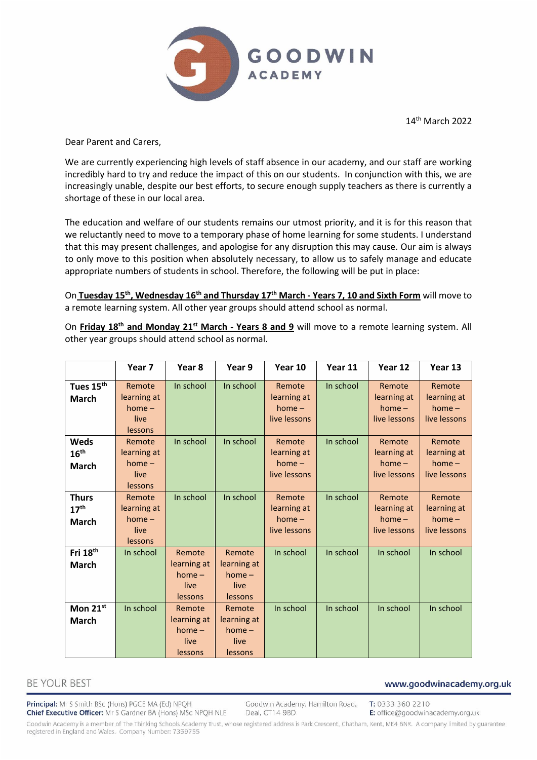

14th March 2022

Dear Parent and Carers,

We are currently experiencing high levels of staff absence in our academy, and our staff are working incredibly hard to try and reduce the impact of this on our students. In conjunction with this, we are increasingly unable, despite our best efforts, to secure enough supply teachers as there is currently a shortage of these in our local area.

The education and welfare of our students remains our utmost priority, and it is for this reason that we reluctantly need to move to a temporary phase of home learning for some students. I understand that this may present challenges, and apologise for any disruption this may cause. Our aim is always to only move to this position when absolutely necessary, to allow us to safely manage and educate appropriate numbers of students in school. Therefore, the following will be put in place:

On **Tuesday 15th, Wednesday 16th and Thursday 17 th March - Years 7, 10 and Sixth Form** will move to a remote learning system. All other year groups should attend school as normal.

On **Friday 18th and Monday 21st March - Years 8 and 9** will move to a remote learning system. All other year groups should attend school as normal.

|                                                  | Year 7                                               | Year 8                                                      | Year 9                                               | Year 10                                           | Year 11   | Year 12                                           | Year 13                                           |
|--------------------------------------------------|------------------------------------------------------|-------------------------------------------------------------|------------------------------------------------------|---------------------------------------------------|-----------|---------------------------------------------------|---------------------------------------------------|
| Tues 15 <sup>th</sup><br><b>March</b>            | Remote<br>learning at<br>$home -$<br>live<br>lessons | In school                                                   | In school                                            | Remote<br>learning at<br>$home -$<br>live lessons | In school | Remote<br>learning at<br>$home -$<br>live lessons | Remote<br>learning at<br>$home -$<br>live lessons |
| Weds<br>16 <sup>th</sup><br><b>March</b>         | Remote<br>learning at<br>$home -$<br>live<br>lessons | In school                                                   | In school                                            | Remote<br>learning at<br>$home -$<br>live lessons | In school | Remote<br>learning at<br>$home -$<br>live lessons | Remote<br>learning at<br>$home -$<br>live lessons |
| <b>Thurs</b><br>17 <sup>th</sup><br><b>March</b> | Remote<br>learning at<br>$home -$<br>live<br>lessons | In school                                                   | In school                                            | Remote<br>learning at<br>$home -$<br>live lessons | In school | Remote<br>learning at<br>$home -$<br>live lessons | Remote<br>learning at<br>$home -$<br>live lessons |
| Fri 18 <sup>th</sup><br><b>March</b>             | In school                                            | Remote<br>learning at<br>$home -$<br>live<br><b>lessons</b> | Remote<br>learning at<br>$home -$<br>live<br>lessons | In school                                         | In school | In school                                         | In school                                         |
| Mon 21st<br><b>March</b>                         | In school                                            | Remote<br>learning at<br>$home -$<br>live<br>lessons        | Remote<br>learning at<br>$home -$<br>live<br>lessons | In school                                         | In school | In school                                         | In school                                         |

# **BE YOUR BEST**

Principal: Mr S Smith BSc (Hons) PGCE MA (Ed) NPQH Chief Executive Officer: Mr S Gardner BA (Hons) MSc NPQH NLE

Goodwin Academy, Hamilton Road, Deal, CT14 9BD

T: 0333 360 2210 E: office@goodwinacademy.org.uk

www.goodwinacademy.org.uk

Goodwin Academy is a member of The Thinking Schools Academy Trust, whose registered address is Park Crescent, Chatham, Kent, ME4 6NR. A company limited by guarantee registered in England and Wales. Company Number: 7359755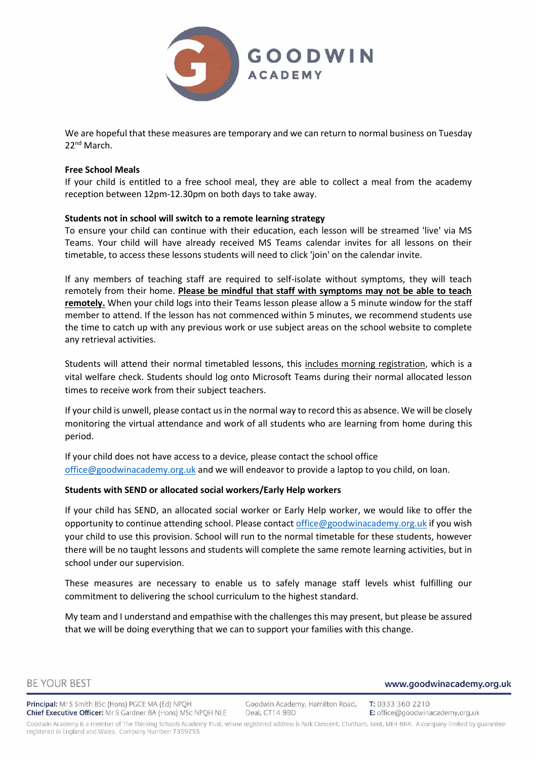

We are hopeful that these measures are temporary and we can return to normal business on Tuesday 22<sup>nd</sup> March.

#### **Free School Meals**

If your child is entitled to a free school meal, they are able to collect a meal from the academy reception between 12pm-12.30pm on both days to take away.

## **Students not in school will switch to a remote learning strategy**

To ensure your child can continue with their education, each lesson will be streamed 'live' via MS Teams. Your child will have already received MS Teams calendar invites for all lessons on their timetable, to access these lessons students will need to click 'join' on the calendar invite.

If any members of teaching staff are required to self-isolate without symptoms, they will teach remotely from their home. **Please be mindful that staff with symptoms may not be able to teach remotely.** When your child logs into their Teams lesson please allow a 5 minute window for the staff member to attend. If the lesson has not commenced within 5 minutes, we recommend students use the time to catch up with any previous work or use subject areas on the school website to complete any retrieval activities.

Students will attend their normal timetabled lessons, this includes morning registration, which is a vital welfare check. Students should log onto Microsoft Teams during their normal allocated lesson times to receive work from their subject teachers.

If your child is unwell, please contact us in the normal way to record this as absence. We will be closely monitoring the virtual attendance and work of all students who are learning from home during this period.

If your child does not have access to a device, please contact the school office [office@goodwinacademy.org.uk](mailto:office@goodwinacademy.org.uk) and we will endeavor to provide a laptop to you child, on loan.

## **Students with SEND or allocated social workers/Early Help workers**

If your child has SEND, an allocated social worker or Early Help worker, we would like to offer the opportunity to continue attending school. Please contact [office@goodwinacademy.org.uk](mailto:office@goodwinacademy.org.uk) if you wish your child to use this provision. School will run to the normal timetable for these students, however there will be no taught lessons and students will complete the same remote learning activities, but in school under our supervision.

These measures are necessary to enable us to safely manage staff levels whist fulfilling our commitment to delivering the school curriculum to the highest standard.

My team and I understand and empathise with the challenges this may present, but please be assured that we will be doing everything that we can to support your families with this change.

#### www.goodwinacademy.org.uk

Principal: Mr S Smith BSc (Hons) PGCE MA (Ed) NPQH Chief Executive Officer: Mr S Gardner BA (Hons) MSc NPQH NLE

Goodwin Academy, Hamilton Road, T: 0333 360 2210 Deal, CT14 9BD E: office@goodwinacademy.org.uk